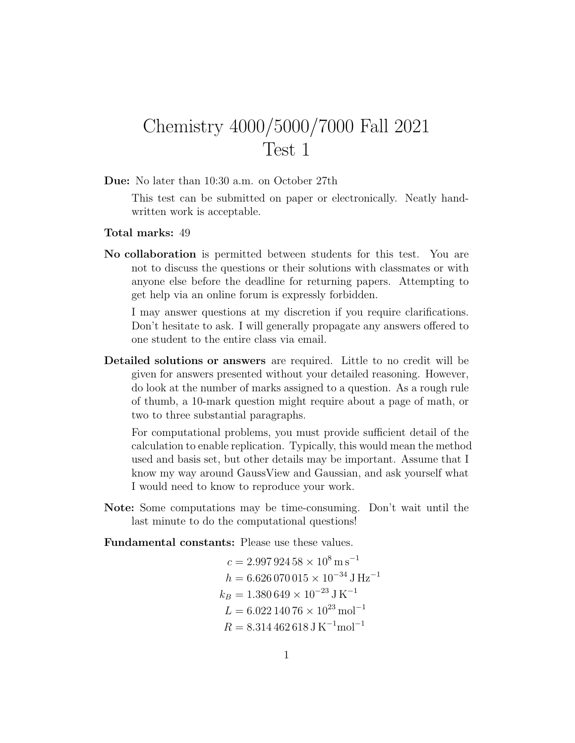## Chemistry 4000/5000/7000 Fall 2021 Test 1

Due: No later than 10:30 a.m. on October 27th

This test can be submitted on paper or electronically. Neatly handwritten work is acceptable.

## Total marks: 49

No collaboration is permitted between students for this test. You are not to discuss the questions or their solutions with classmates or with anyone else before the deadline for returning papers. Attempting to get help via an online forum is expressly forbidden.

I may answer questions at my discretion if you require clarifications. Don't hesitate to ask. I will generally propagate any answers offered to one student to the entire class via email.

Detailed solutions or answers are required. Little to no credit will be given for answers presented without your detailed reasoning. However, do look at the number of marks assigned to a question. As a rough rule of thumb, a 10-mark question might require about a page of math, or two to three substantial paragraphs.

For computational problems, you must provide sufficient detail of the calculation to enable replication. Typically, this would mean the method used and basis set, but other details may be important. Assume that I know my way around GaussView and Gaussian, and ask yourself what I would need to know to reproduce your work.

Note: Some computations may be time-consuming. Don't wait until the last minute to do the computational questions!

Fundamental constants: Please use these values.

$$
c = 2.997\,924\,58 \times 10^8 \,\mathrm{m s}^{-1}
$$
\n
$$
h = 6.626\,070\,015 \times 10^{-34}\,\mathrm{J\,Hz}^{-1}
$$
\n
$$
k_B = 1.380\,649 \times 10^{-23}\,\mathrm{J\,K}^{-1}
$$
\n
$$
L = 6.022\,140\,76 \times 10^{23}\,\mathrm{mol}^{-1}
$$
\n
$$
R = 8.314\,462\,618\,\mathrm{J\,K}^{-1}\mathrm{mol}^{-1}
$$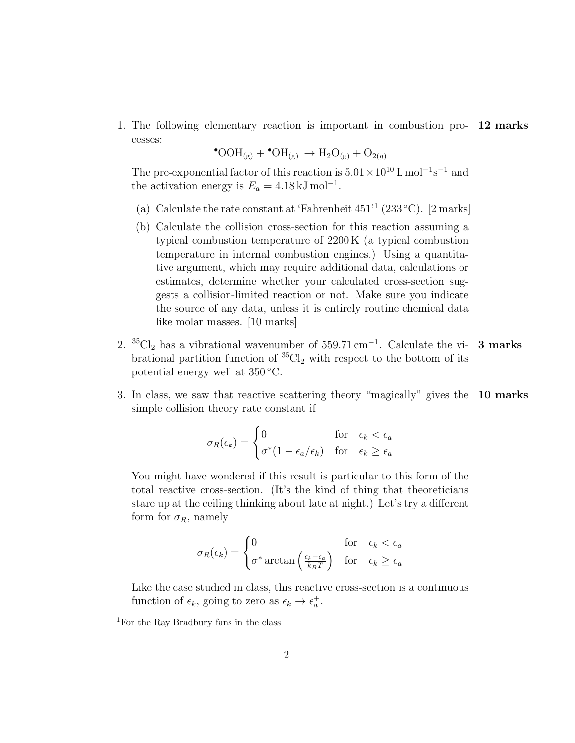1. The following elementary reaction is important in combustion pro- 12 marks cesses:

$$
^{\bullet}\mathrm{OOH}_{\left(g\right)} + ^{\bullet}\mathrm{OH}_{\left(g\right)} \rightarrow \mathrm{H}_2\mathrm{O}_{\left(g\right)} + \mathrm{O}_{2(g)}
$$

The pre-exponential factor of this reaction is  $5.01 \times 10^{10}$  L mol<sup>-1</sup>s<sup>-1</sup> and the activation energy is  $E_a = 4.18 \,\mathrm{kJ\,mol^{-1}}$ .

- (a) Calculate the rate constant at 'Fahrenheit  $451'$ <sup>1</sup> (233 °C). [2 marks]
- (b) Calculate the collision cross-section for this reaction assuming a typical combustion temperature of 2200 K (a typical combustion temperature in internal combustion engines.) Using a quantitative argument, which may require additional data, calculations or estimates, determine whether your calculated cross-section suggests a collision-limited reaction or not. Make sure you indicate the source of any data, unless it is entirely routine chemical data like molar masses. [10 marks]
- 2.  ${}^{35}Cl_2$  has a vibrational wavenumber of 559.71 cm<sup>-1</sup>. Calculate the vi- 3 marks brational partition function of  ${}^{35}Cl_2$  with respect to the bottom of its potential energy well at 350 ◦C.
- 3. In class, we saw that reactive scattering theory "magically" gives the 10 marks simple collision theory rate constant if

$$
\sigma_R(\epsilon_k) = \begin{cases}\n0 & \text{for } \epsilon_k < \epsilon_a \\
\sigma^*(1 - \epsilon_a/\epsilon_k) & \text{for } \epsilon_k \ge \epsilon_a\n\end{cases}
$$

You might have wondered if this result is particular to this form of the total reactive cross-section. (It's the kind of thing that theoreticians stare up at the ceiling thinking about late at night.) Let's try a different form for  $\sigma_R$ , namely

$$
\sigma_R(\epsilon_k) = \begin{cases} 0 & \text{for } \epsilon_k < \epsilon_a \\ \sigma^* \arctan\left(\frac{\epsilon_k - \epsilon_a}{k_B T}\right) & \text{for } \epsilon_k \ge \epsilon_a \end{cases}
$$

Like the case studied in class, this reactive cross-section is a continuous function of  $\epsilon_k$ , going to zero as  $\epsilon_k \to \epsilon_a^+$ .

<sup>1</sup>For the Ray Bradbury fans in the class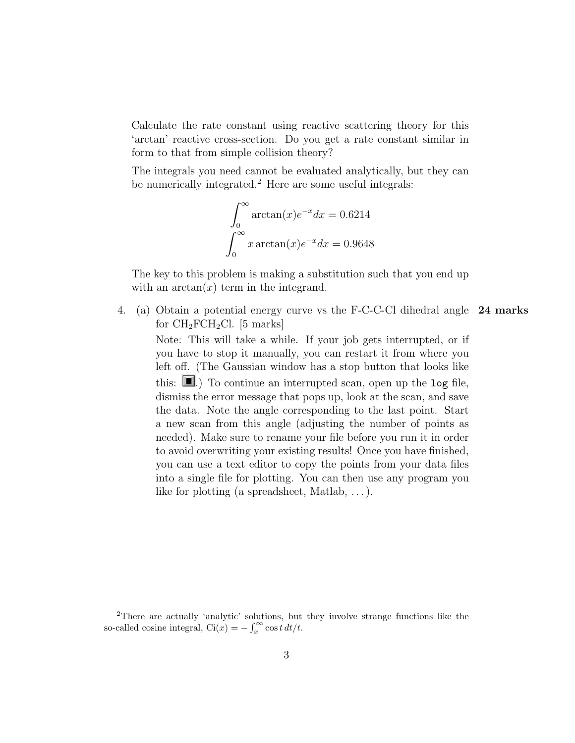Calculate the rate constant using reactive scattering theory for this 'arctan' reactive cross-section. Do you get a rate constant similar in form to that from simple collision theory?

The integrals you need cannot be evaluated analytically, but they can be numerically integrated.<sup>2</sup> Here are some useful integrals:

$$
\int_0^\infty \arctan(x)e^{-x}dx = 0.6214
$$

$$
\int_0^\infty x \arctan(x)e^{-x}dx = 0.9648
$$

The key to this problem is making a substitution such that you end up with an  $arctan(x)$  term in the integrand.

4. (a) Obtain a potential energy curve vs the F-C-C-Cl dihedral angle 24 marks for  $CH_2FCH_2Cl.$  [5 marks]

Note: This will take a while. If your job gets interrupted, or if you have to stop it manually, you can restart it from where you left off. (The Gaussian window has a stop button that looks like this:  $\blacksquare$ .) To continue an interrupted scan, open up the log file, dismiss the error message that pops up, look at the scan, and save the data. Note the angle corresponding to the last point. Start a new scan from this angle (adjusting the number of points as needed). Make sure to rename your file before you run it in order to avoid overwriting your existing results! Once you have finished, you can use a text editor to copy the points from your data files into a single file for plotting. You can then use any program you like for plotting (a spreadsheet, Matlab, . . . ).

<sup>2</sup>There are actually 'analytic' solutions, but they involve strange functions like the so-called cosine integral,  $\text{Ci}(x) = -\int_x^{\infty} \cos t \, dt/t$ .